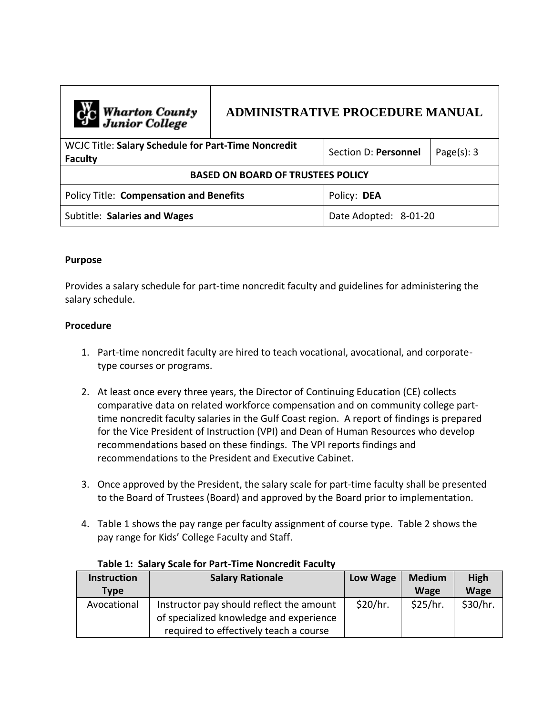| C <sub>C</sub> Wharton County<br>Junior College                       | <b>ADMINISTRATIVE PROCEDURE MANUAL</b> |                       |  |  |
|-----------------------------------------------------------------------|----------------------------------------|-----------------------|--|--|
| WCJC Title: Salary Schedule for Part-Time Noncredit<br><b>Faculty</b> | Section D: Personnel<br>Page $(s)$ : 3 |                       |  |  |
| <b>BASED ON BOARD OF TRUSTEES POLICY</b>                              |                                        |                       |  |  |
| Policy Title: Compensation and Benefits                               |                                        | Policy: DEA           |  |  |
| Subtitle: Salaries and Wages                                          |                                        | Date Adopted: 8-01-20 |  |  |

## **Purpose**

Provides a salary schedule for part-time noncredit faculty and guidelines for administering the salary schedule.

# **Procedure**

- 1. Part-time noncredit faculty are hired to teach vocational, avocational, and corporatetype courses or programs.
- 2. At least once every three years, the Director of Continuing Education (CE) collects comparative data on related workforce compensation and on community college parttime noncredit faculty salaries in the Gulf Coast region. A report of findings is prepared for the Vice President of Instruction (VPI) and Dean of Human Resources who develop recommendations based on these findings. The VPI reports findings and recommendations to the President and Executive Cabinet.
- 3. Once approved by the President, the salary scale for part-time faculty shall be presented to the Board of Trustees (Board) and approved by the Board prior to implementation.
- 4. Table 1 shows the pay range per faculty assignment of course type. Table 2 shows the pay range for Kids' College Faculty and Staff.

| <b>Instruction</b> | <b>Salary Rationale</b>                  | Low Wage | <b>Medium</b> | High        |
|--------------------|------------------------------------------|----------|---------------|-------------|
| <b>Type</b>        |                                          |          | <b>Wage</b>   | <b>Wage</b> |
| Avocational        | Instructor pay should reflect the amount | \$20/hr. | \$25/hr.      | \$30/hr.    |
|                    | of specialized knowledge and experience  |          |               |             |
|                    | required to effectively teach a course   |          |               |             |

## **Table 1: Salary Scale for Part-Time Noncredit Faculty**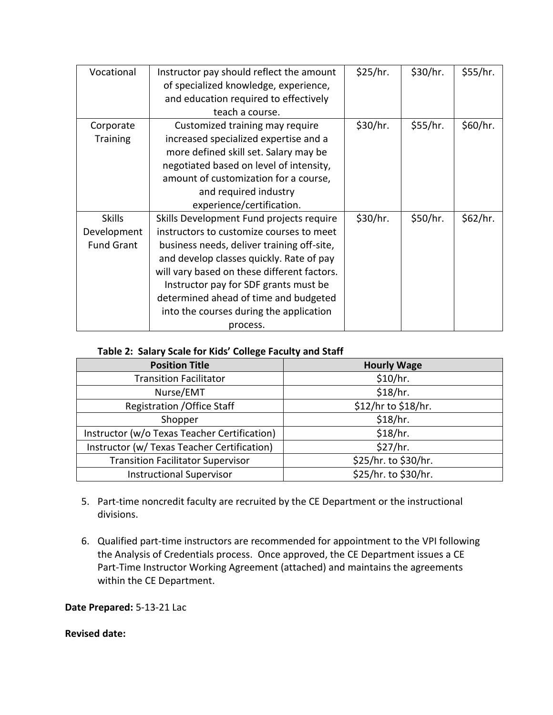| Vocational        | Instructor pay should reflect the amount    | \$25/hr. | \$30/hr. | \$55/hr. |
|-------------------|---------------------------------------------|----------|----------|----------|
|                   | of specialized knowledge, experience,       |          |          |          |
|                   | and education required to effectively       |          |          |          |
|                   | teach a course.                             |          |          |          |
| Corporate         | Customized training may require             | \$30/hr. | \$55/hr. | \$60/hr. |
| <b>Training</b>   | increased specialized expertise and a       |          |          |          |
|                   | more defined skill set. Salary may be       |          |          |          |
|                   | negotiated based on level of intensity,     |          |          |          |
|                   | amount of customization for a course,       |          |          |          |
|                   | and required industry                       |          |          |          |
|                   | experience/certification.                   |          |          |          |
| <b>Skills</b>     | Skills Development Fund projects require    | \$30/hr. | \$50/hr. | \$62/hr. |
| Development       | instructors to customize courses to meet    |          |          |          |
| <b>Fund Grant</b> | business needs, deliver training off-site,  |          |          |          |
|                   | and develop classes quickly. Rate of pay    |          |          |          |
|                   | will vary based on these different factors. |          |          |          |
|                   | Instructor pay for SDF grants must be       |          |          |          |
|                   | determined ahead of time and budgeted       |          |          |          |
|                   | into the courses during the application     |          |          |          |
|                   | process.                                    |          |          |          |

#### **Table 2: Salary Scale for Kids' College Faculty and Staff**

| <b>Position Title</b>                        | <b>Hourly Wage</b>   |
|----------------------------------------------|----------------------|
| <b>Transition Facilitator</b>                | \$10/hr.             |
| Nurse/EMT                                    | \$18/hr.             |
| <b>Registration / Office Staff</b>           | \$12/hr to \$18/hr.  |
| Shopper                                      | \$18/hr.             |
| Instructor (w/o Texas Teacher Certification) | \$18/hr.             |
| Instructor (w/ Texas Teacher Certification)  | \$27/hr.             |
| <b>Transition Facilitator Supervisor</b>     | \$25/hr. to \$30/hr. |
| <b>Instructional Supervisor</b>              | \$25/hr. to \$30/hr. |

- 5. Part-time noncredit faculty are recruited by the CE Department or the instructional divisions.
- 6. Qualified part-time instructors are recommended for appointment to the VPI following the Analysis of Credentials process. Once approved, the CE Department issues a CE Part-Time Instructor Working Agreement (attached) and maintains the agreements within the CE Department.

**Date Prepared:** 5-13-21 Lac

**Revised date:**